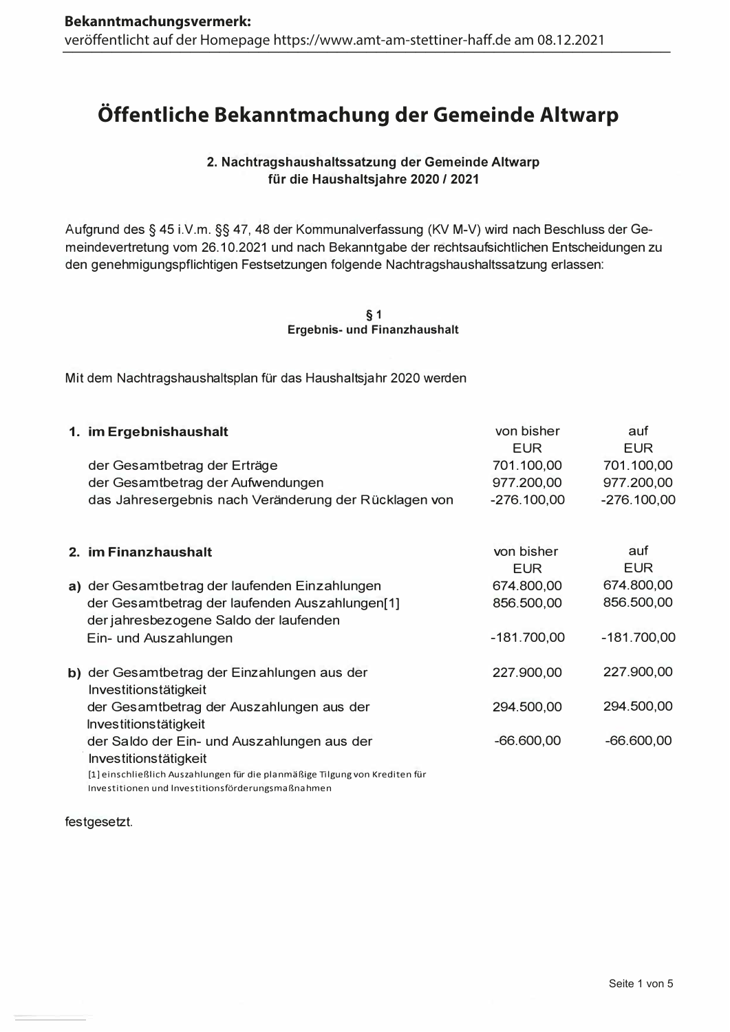# Öffentliche Bekanntmachung der Gemeinde Altwarp

# 2. Nachtragshaushaltssatzung der Gemeinde Altwarp für die Haushaltsjahre 2020 / 2021

Aufgrund des § 45 i.V.m. §§ 47, 48 der Kommunalverfassung (KV M-V) wird nach Beschluss der Gemeindevertretung vom 26.10.2021 und nach Bekanntgabe der rechtsaufsichtlichen Entscheidungen zu den genehmigungspflichtigen Festsetzungen folgende Nachtragshaushaltssatzung erlassen:

> $§ 1$ **Ergebnis- und Finanzhaushalt**

Mit dem Nachtragshaushaltsplan für das Haushaltsjahr 2020 werden

|    | 1. im Ergebnishaushalt                                                                                                           | von bisher               | auf               |
|----|----------------------------------------------------------------------------------------------------------------------------------|--------------------------|-------------------|
|    |                                                                                                                                  | <b>EUR</b>               | <b>EUR</b>        |
|    | der Gesamtbetrag der Erträge                                                                                                     | 701.100,00               | 701.100,00        |
|    | der Gesamtbetrag der Aufwendungen                                                                                                | 977.200,00               | 977.200,00        |
|    | das Jahresergebnis nach Veränderung der Rücklagen von                                                                            | $-276.100,00$            | $-276.100,00$     |
|    |                                                                                                                                  |                          |                   |
|    | 2. im Finanzhaushalt                                                                                                             | von bisher<br><b>EUR</b> | auf<br><b>EUR</b> |
|    | a) der Gesamtbetrag der laufenden Einzahlungen                                                                                   | 674.800,00               | 674.800,00        |
|    | der Gesamtbetrag der laufenden Auszahlungen[1]<br>der jahresbezogene Saldo der laufenden                                         | 856.500,00               | 856.500,00        |
|    | Ein- und Auszahlungen                                                                                                            | $-181.700,00$            | $-181.700,00$     |
| b) | der Gesamtbetrag der Einzahlungen aus der<br>Investitionstätigkeit                                                               | 227.900,00               | 227.900,00        |
|    | der Gesamtbetrag der Auszahlungen aus der<br>Investitionstätigkeit                                                               | 294.500,00               | 294.500,00        |
|    | der Saldo der Ein- und Auszahlungen aus der                                                                                      | $-66.600,00$             | $-66.600,00$      |
|    | Investitionstätigkeit                                                                                                            |                          |                   |
|    | [1] einschließlich Auszahlungen für die planmäßige Tilgung von Krediten für<br>Investitionen und Investitionsförderungsmaßnahmen |                          |                   |

festgesetzt.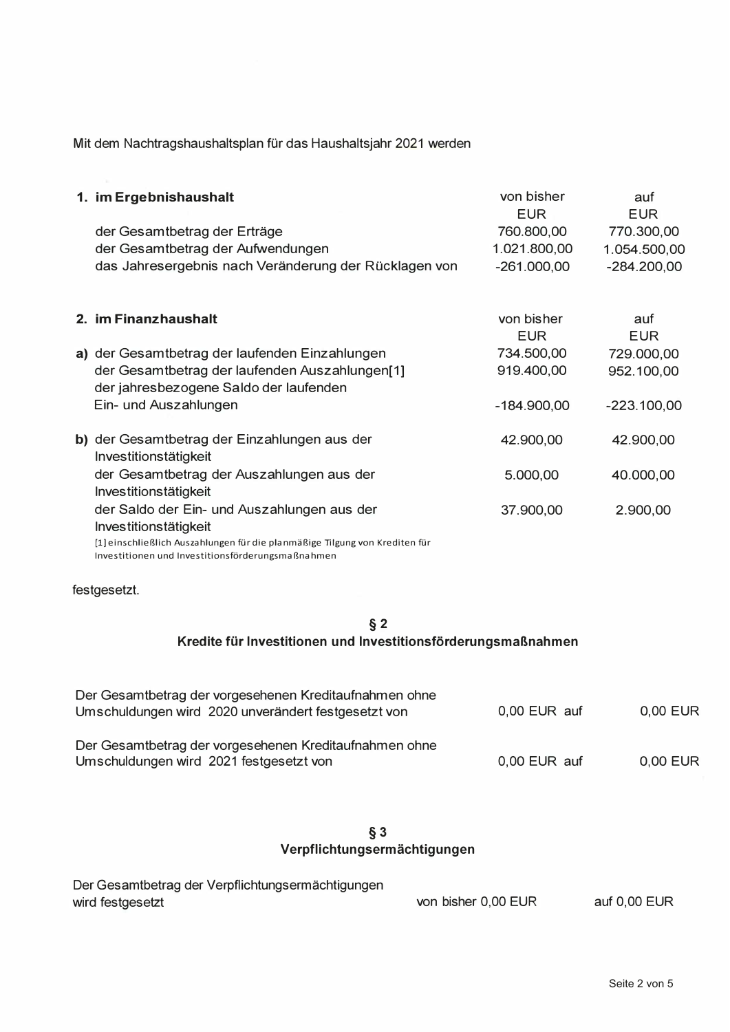Mit dem Nachtragshaushaltsplan für das Haushaltsjahr 2021 werden

| 1. im Ergebnishaushalt                                                                   | von bisher<br><b>EUR</b> | auf<br><b>EUR</b> |
|------------------------------------------------------------------------------------------|--------------------------|-------------------|
| der Gesamtbetrag der Erträge                                                             | 760.800,00               | 770.300,00        |
| der Gesamtbetrag der Aufwendungen                                                        | 1.021.800,00             | 1.054.500,00      |
| das Jahresergebnis nach Veränderung der Rücklagen von                                    | $-261.000,00$            | $-284.200,00$     |
|                                                                                          |                          |                   |
| 2. im Finanzhaushalt                                                                     | von bisher<br><b>EUR</b> | auf<br><b>EUR</b> |
| a) der Gesamtbetrag der laufenden Einzahlungen                                           | 734.500,00               | 729.000,00        |
| der Gesamtbetrag der laufenden Auszahlungen[1]<br>der jahresbezogene Saldo der laufenden | 919.400,00               | 952.100,00        |
| Ein- und Auszahlungen                                                                    | $-184.900,00$            | $-223.100,00$     |
| b) der Gesamtbetrag der Einzahlungen aus der<br>Investitionstätigkeit                    | 42.900,00                | 42.900,00         |
| der Gesamtbetrag der Auszahlungen aus der<br>Investitionstätigkeit                       | 5.000,00                 | 40.000,00         |
| der Saldo der Ein- und Auszahlungen aus der                                              | 37.900,00                | 2.900,00          |
| Investitionstätigkeit                                                                    |                          |                   |
| [1] einschließlich Auszahlungen für die planmäßige Tilgung von Krediten für              |                          |                   |

Investitionen und Investitionsförderungsmaßnahmen

festgesetzt.

# $§ 2$ Kredite für Investitionen und Investitionsförderungsmaßnahmen

| Der Gesamtbetrag der vorgesehenen Kreditaufnahmen ohne<br>Umschuldungen wird 2020 unverändert festgesetzt von | 0,00 EUR auf | 0,00 EUR |
|---------------------------------------------------------------------------------------------------------------|--------------|----------|
| Der Gesamtbetrag der vorgesehenen Kreditaufnahmen ohne<br>Umschuldungen wird 2021 festgesetzt von             | 0,00 EUR auf | 0,00 EUR |

# $\S 3$

| Der Gesamtbetrag der Verpflichtungsermächtigungen |                     |              |
|---------------------------------------------------|---------------------|--------------|
| wird festgesetzt                                  | von bisher 0,00 EUR | auf 0,00 EUR |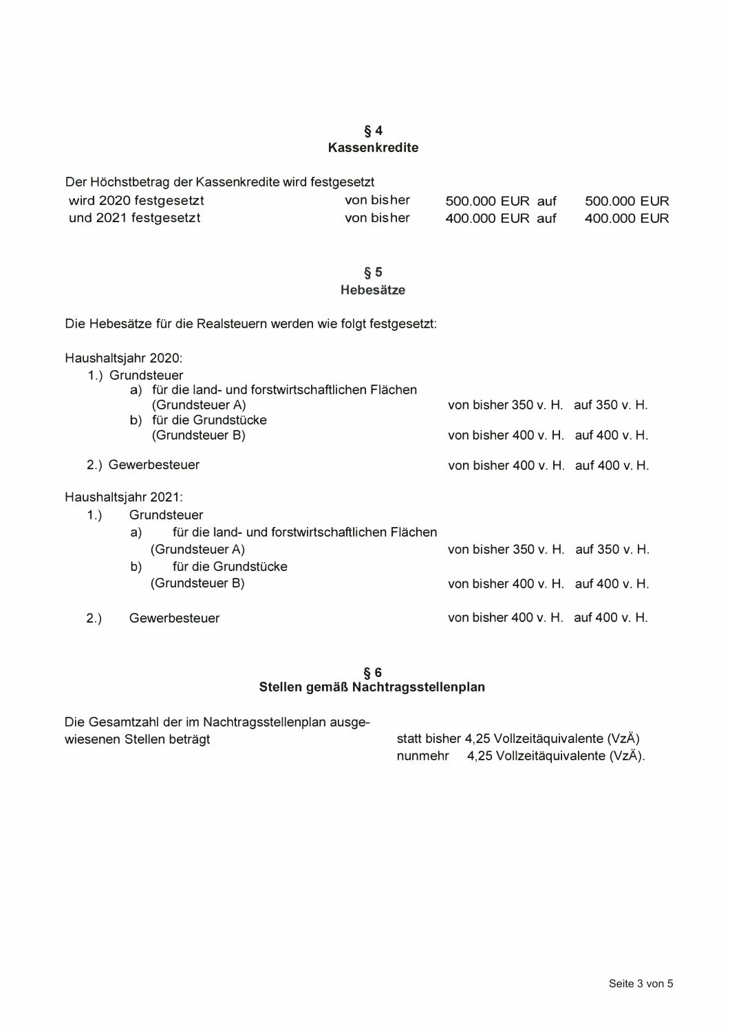## $§ 4$ **Kassenkredite**

Der Höchstbetrag der Kassenkredite wird festgesetzt von bisher 500,000 EUR auf 500,000 EUR wird 2020 festgesetzt und 2021 festgesetzt von bisher 400.000 EUR auf 400.000 EUR

### $§ 5$ Hebesätze

Die Hebesätze für die Realsteuern werden wie folgt festgesetzt:

#### Haushaltsiahr 2020:

 $2.)$ 

|                     | 1.) Grundsteuer                                                                                 |                                    |  |
|---------------------|-------------------------------------------------------------------------------------------------|------------------------------------|--|
|                     | a) für die land- und forstwirtschaftlichen Flächen<br>(Grundsteuer A)<br>b) für die Grundstücke | von bisher 350 v. H. auf 350 v. H. |  |
|                     | (Grundsteuer B)                                                                                 | von bisher 400 v. H. auf 400 v. H. |  |
|                     | 2.) Gewerbesteuer                                                                               | von bisher 400 v. H. auf 400 v. H. |  |
| Haushaltsjahr 2021: |                                                                                                 |                                    |  |
| 1.)                 | Grundsteuer                                                                                     |                                    |  |
|                     | für die land- und forstwirtschaftlichen Flächen<br>a)                                           |                                    |  |
|                     |                                                                                                 |                                    |  |

| (Grundsteuer A)                        | von bisher 350 v. H. auf 350 v. H. |  |
|----------------------------------------|------------------------------------|--|
| für die Grundstücke<br>(Grundsteuer B) | von bisher 400 v. H. auf 400 v. H. |  |
| Gewerbesteuer                          | von bisher 400 v. H. auf 400 v. H. |  |

#### $§ 6$ Stellen gemäß Nachtragsstellenplan

Die Gesamtzahl der im Nachtragsstellenplan ausgewiesenen Stellen beträgt

statt bisher 4,25 Vollzeitäquivalente (VzÄ) nunmehr 4,25 Vollzeitäquivalente (VzÄ).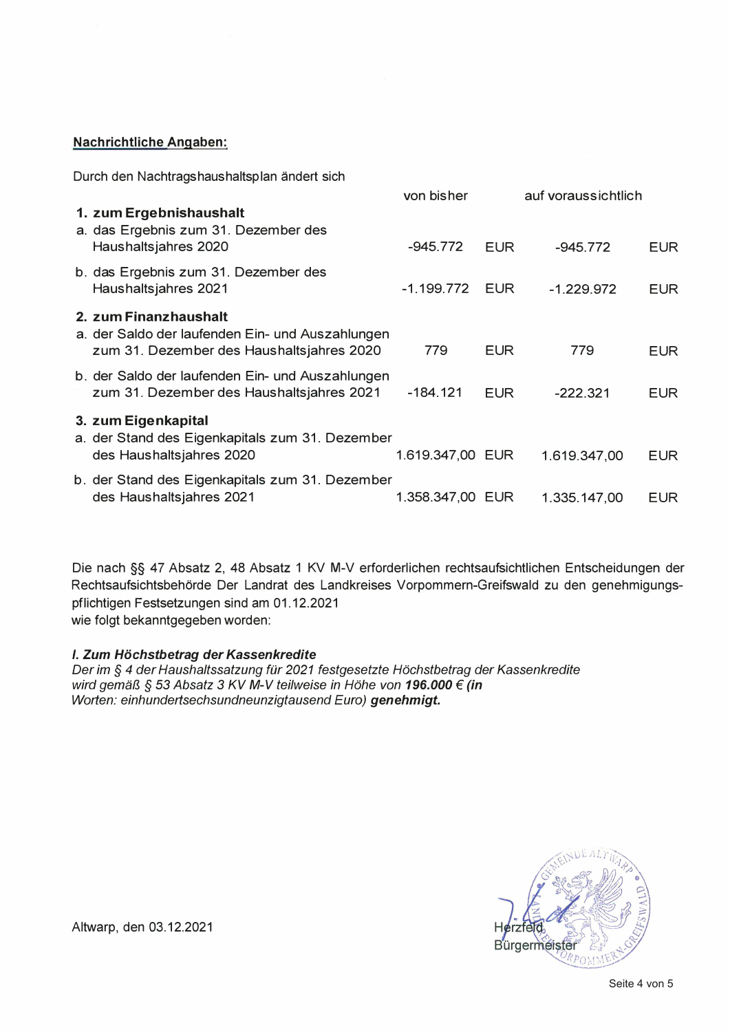#### **Nachrichtliche Angaben:**

Durch den Nachtragshaushaltsplan ändert sich

|                                                                                                                        | von bisher       |            | auf voraussichtlich |            |
|------------------------------------------------------------------------------------------------------------------------|------------------|------------|---------------------|------------|
| 1. zum Ergebnishaushalt<br>a. das Ergebnis zum 31. Dezember des<br>Haushaltsjahres 2020                                | $-945.772$       | <b>EUR</b> | $-945.772$          | <b>EUR</b> |
| b. das Ergebnis zum 31. Dezember des<br>Haushaltsjahres 2021                                                           | $-1.199.772$     | <b>EUR</b> | $-1.229.972$        | <b>EUR</b> |
| 2. zum Finanzhaushalt<br>a. der Saldo der laufenden Ein- und Auszahlungen<br>zum 31. Dezember des Haushaltsjahres 2020 | 779              | <b>EUR</b> | 779                 | <b>EUR</b> |
| b. der Saldo der laufenden Ein- und Auszahlungen<br>zum 31. Dezember des Haushaltsjahres 2021                          | $-184.121$       | <b>EUR</b> | $-222.321$          | <b>EUR</b> |
| 3. zum Eigenkapital<br>a. der Stand des Eigenkapitals zum 31. Dezember<br>des Haushaltsjahres 2020                     | 1.619.347,00 EUR |            | 1.619.347,00        | <b>EUR</b> |
| b. der Stand des Eigenkapitals zum 31. Dezember<br>des Haushaltsjahres 2021                                            | 1.358.347,00 EUR |            | 1.335.147,00        | EUR.       |
|                                                                                                                        |                  |            |                     |            |

Die nach §§ 47 Absatz 2, 48 Absatz 1 KV M-V erforderlichen rechtsaufsichtlichen Entscheidungen der Rechtsaufsichtsbehörde Der Landrat des Landkreises Vorpommern-Greifswald zu den genehmigungspflichtigen Festsetzungen sind am 01.12.2021 wie folgt bekanntgegeben worden:

## I. Zum Höchstbetrag der Kassenkredite

Der im § 4 der Haushaltssatzung für 2021 festgesetzte Höchstbetrag der Kassenkredite  $\,$ wird gemäß § 53 Absatz 3 KV M-V teilweise in Höhe von **196.000 € (in** Worten: einhundertsechsundneunzigtausend Euro) **genehmigt.** 



Altwarp, den 03.12.2021